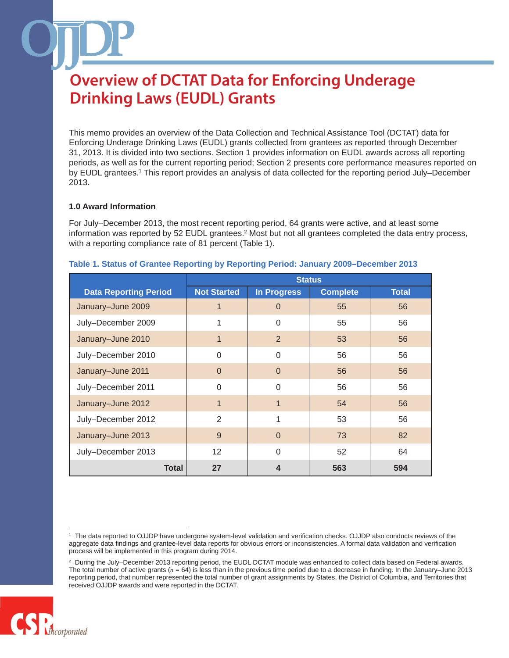This memo provides an overview of the Data Collection and Technical Assistance Tool (DCTAT) data for Enforcing Underage Drinking Laws (EUDL) grants collected from grantees as reported through December 31, 2013. It is divided into two sections. Section 1 provides information on EUDL awards across all reporting periods, as well as for the current reporting period; Section 2 presents core performance measures reported on by EUDL grantees.<sup>1</sup> This report provides an analysis of data collected for the reporting period July–December 2013.

#### **1.0 Award Information**

For July–December 2013, the most recent reporting period, 64 grants were active, and at least some information was reported by 52 EUDL grantees.<sup>2</sup> Most but not all grantees completed the data entry process, with a reporting compliance rate of 81 percent (Table 1).

|                              | <b>Status</b>      |                  |                 |              |
|------------------------------|--------------------|------------------|-----------------|--------------|
| <b>Data Reporting Period</b> | <b>Not Started</b> | In Progress      | <b>Complete</b> | <b>Total</b> |
| January-June 2009            |                    | $\Omega$         | 55              | 56           |
| July-December 2009           |                    | $\Omega$         | 55              | 56           |
| January-June 2010            | 1                  | $\overline{2}$   | 53              | 56           |
| July-December 2010           | $\Omega$           | $\Omega$         | 56              | 56           |
| January-June 2011            | $\Omega$           | $\Omega$         | 56              | 56           |
| July-December 2011           | $\Omega$           | $\Omega$         | 56              | 56           |
| January-June 2012            | $\mathbf{1}$       | 1                | 54              | 56           |
| July-December 2012           | $\mathfrak{D}$     | 1                | 53              | 56           |
| January-June 2013            | 9                  | $\overline{0}$   | 73              | 82           |
| July-December 2013           | 12                 | $\Omega$         | 52              | 64           |
| <b>Total</b>                 | 27                 | $\boldsymbol{4}$ | 563             | 594          |

#### **Table 1. Status of Grantee Reporting by Reporting Period: January 2009–December 2013**

<sup>2</sup> During the July–December 2013 reporting period, the EUDL DCTAT module was enhanced to collect data based on Federal awards. The total number of active grants (*n =* 64) is less than in the previous time period due to a decrease in funding. In the January–June 2013 reporting period, that number represented the total number of grant assignments by States, the District of Columbia, and Territories that received OJJDP awards and were reported in the DCTAT.



<sup>1</sup> The data reported to OJJDP have undergone system-level validation and verification checks. OJJDP also conducts reviews of the aggregate data findings and grantee-level data reports for obvious errors or inconsistencies. A formal data validation and verification process will be implemented in this program during 2014.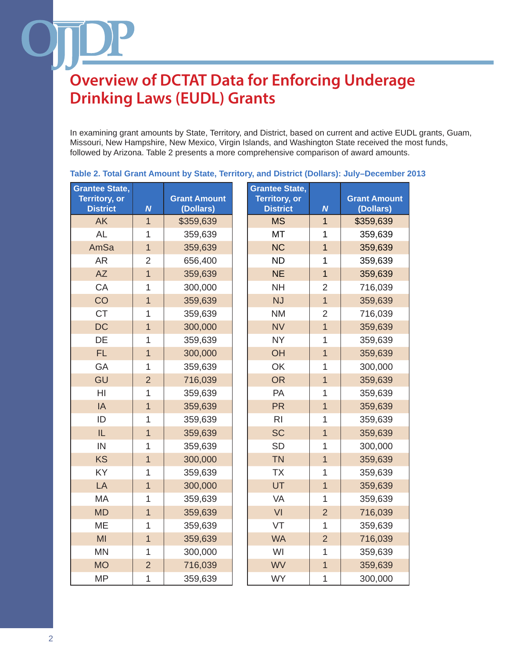In examining grant amounts by State, Territory, and District, based on current and active EUDL grants, Guam, Missouri, New Hampshire, New Mexico, Virgin Islands, and Washington State received the most funds, followed by Arizona. Table 2 presents a more comprehensive comparison of award amounts.

| <b>Grantee State,</b>                   |                |                                  | <b>Grantee State,</b>                   |                |                                  |
|-----------------------------------------|----------------|----------------------------------|-----------------------------------------|----------------|----------------------------------|
| <b>Territory, or</b><br><b>District</b> | $\overline{N}$ | <b>Grant Amount</b><br>(Dollars) | <b>Territory, or</b><br><b>District</b> | $\overline{N}$ | <b>Grant Amount</b><br>(Dollars) |
| <b>AK</b>                               | $\overline{1}$ | \$359,639                        | <b>MS</b>                               | $\overline{1}$ | \$359,639                        |
| <b>AL</b>                               | 1              | 359,639                          | MT                                      | 1              | 359,639                          |
| AmSa                                    | $\overline{1}$ | 359,639                          | <b>NC</b>                               | $\overline{1}$ | 359,639                          |
| <b>AR</b>                               | $\overline{2}$ | 656,400                          | <b>ND</b>                               | 1              | 359,639                          |
| <b>AZ</b>                               | $\overline{1}$ | 359,639                          | <b>NE</b>                               | $\overline{1}$ | 359,639                          |
| CA                                      | 1              | 300,000                          | <b>NH</b>                               | $\overline{2}$ | 716,039                          |
| CO                                      | $\overline{1}$ | 359,639                          | <b>NJ</b>                               | $\overline{1}$ | 359,639                          |
| <b>CT</b>                               | 1              | 359,639                          | <b>NM</b>                               | $\overline{2}$ | 716,039                          |
| <b>DC</b>                               | $\overline{1}$ | 300,000                          | <b>NV</b>                               | $\overline{1}$ | 359,639                          |
| DE                                      | 1              | 359,639                          | <b>NY</b>                               | $\mathbf 1$    | 359,639                          |
| FL.                                     | $\overline{1}$ | 300,000                          | OH                                      | $\overline{1}$ | 359,639                          |
| GA                                      | 1              | 359,639                          | OK                                      | $\mathbf 1$    | 300,000                          |
| GU                                      | $\overline{2}$ | 716,039                          | <b>OR</b>                               | $\overline{1}$ | 359,639                          |
| H <sub>l</sub>                          | 1              | 359,639                          | PA                                      | $\mathbf 1$    | 359,639                          |
| IA                                      | $\overline{1}$ | 359,639                          | <b>PR</b>                               | $\overline{1}$ | 359,639                          |
| ID                                      | 1              | 359,639                          | R <sub>l</sub>                          | $\mathbf 1$    | 359,639                          |
| IL                                      | $\overline{1}$ | 359,639                          | <b>SC</b>                               | $\overline{1}$ | 359,639                          |
| IN                                      | 1              | 359,639                          | <b>SD</b>                               | $\mathbf 1$    | 300,000                          |
| <b>KS</b>                               | $\overline{1}$ | 300,000                          | <b>TN</b>                               | $\overline{1}$ | 359,639                          |
| KY                                      | 1              | 359,639                          | <b>TX</b>                               | $\mathbf 1$    | 359,639                          |
| LA                                      | $\overline{1}$ | 300,000                          | UT                                      | $\overline{1}$ | 359,639                          |
| <b>MA</b>                               | 1              | 359,639                          | VA                                      | $\mathbf{1}$   | 359,639                          |
| <b>MD</b>                               | $\overline{1}$ | 359,639                          | VI                                      | $\overline{2}$ | 716,039                          |
| <b>ME</b>                               | 1              | 359,639                          | VT                                      | $\mathbf{1}$   | 359,639                          |
| M <sub>l</sub>                          | $\overline{1}$ | 359,639                          | <b>WA</b>                               | $\overline{2}$ | 716,039                          |
| <b>MN</b>                               | 1              | 300,000                          | WI                                      | $\mathbf 1$    | 359,639                          |
| <b>MO</b>                               | $\overline{2}$ | 716,039                          | <b>WV</b>                               | $\mathbf{1}$   | 359,639                          |
| <b>MP</b>                               | 1              | 359,639                          | <b>WY</b>                               | $\mathbf 1$    | 300,000                          |

#### **Table 2. Total Grant Amount by State, Territory, and District (Dollars): July–December 2013**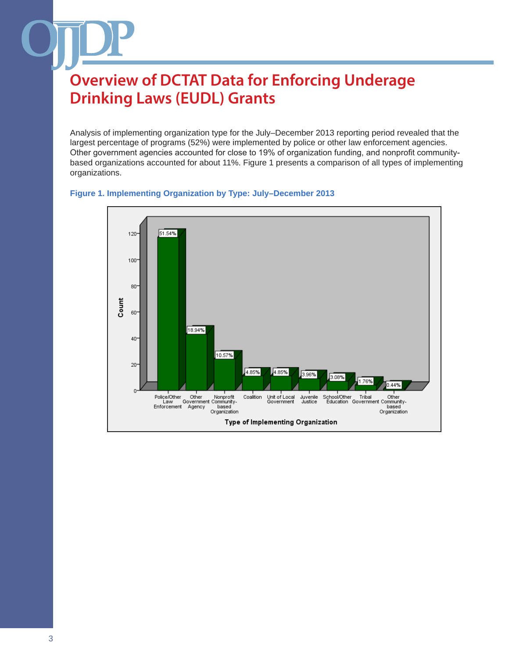Analysis of implementing organization type for the July–December 2013 reporting period revealed that the largest percentage of programs (52%) were implemented by police or other law enforcement agencies. Other government agencies accounted for close to 19% of organization funding, and nonprofit communitybased organizations accounted for about 11%. Figure 1 presents a comparison of all types of implementing organizations.



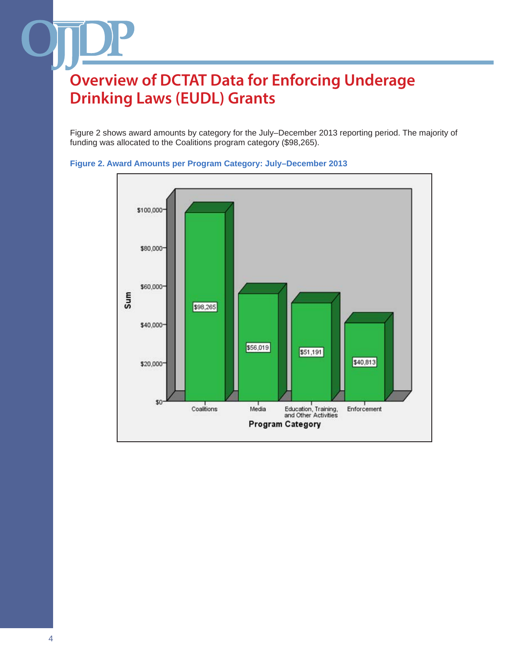Figure 2 shows award amounts by category for the July–December 2013 reporting period. The majority of funding was allocated to the Coalitions program category (\$98,265).



#### **Figure 2. Award Amounts per Program Category: July–December 2013**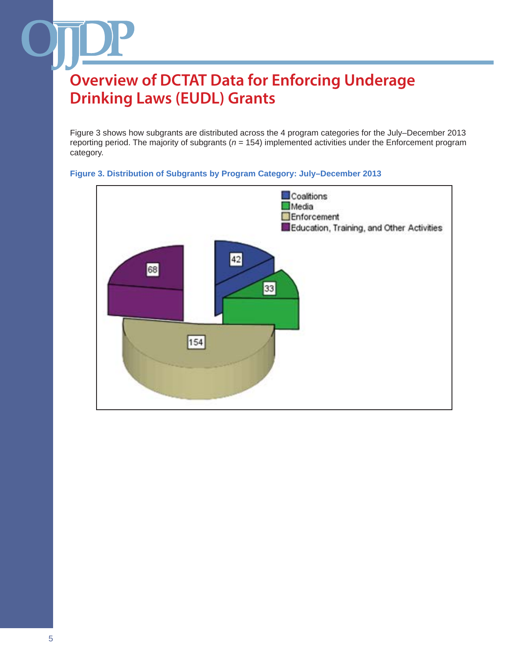Figure 3 shows how subgrants are distributed across the 4 program categories for the July–December 2013 reporting period. The majority of subgrants (*n* = 154) implemented activities under the Enforcement program category.



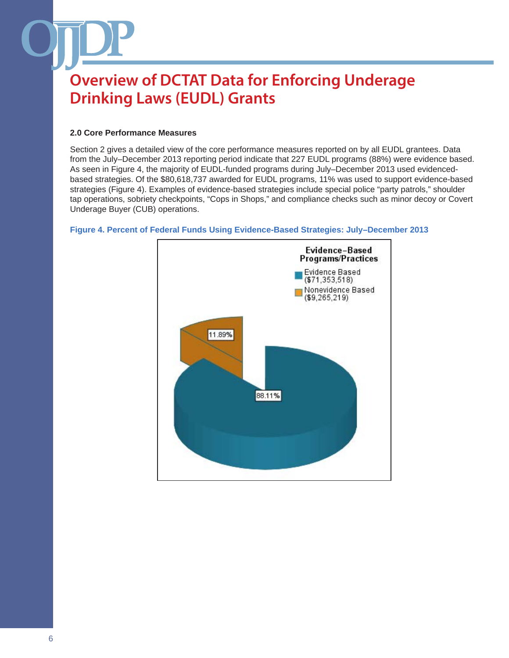#### **2.0 Core Performance Measures**

Section 2 gives a detailed view of the core performance measures reported on by all EUDL grantees. Data from the July–December 2013 reporting period indicate that 227 EUDL programs (88%) were evidence based. As seen in Figure 4, the majority of EUDL-funded programs during July–December 2013 used evidencedbased strategies. Of the \$80,618,737 awarded for EUDL programs, 11% was used to support evidence-based strategies (Figure 4). Examples of evidence-based strategies include special police "party patrols," shoulder tap operations, sobriety checkpoints, "Cops in Shops," and compliance checks such as minor decoy or Covert Underage Buyer (CUB) operations.



#### **Figure 4. Percent of Federal Funds Using Evidence-Based Strategies: July–December 2013**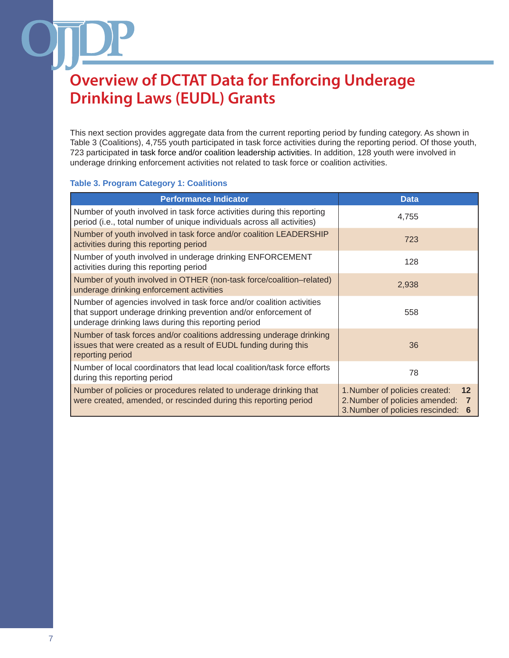This next section provides aggregate data from the current reporting period by funding category. As shown in Table 3 (Coalitions), 4,755 youth participated in task force activities during the reporting period. Of those youth, 723 participated in task force and/or coalition leadership activities. In addition, 128 youth were involved in underage drinking enforcement activities not related to task force or coalition activities.

#### **Table 3. Program Category 1: Coalitions**

| <b>Performance Indicator</b>                                                                                                                                                                    | <b>Data</b>                                                                                                       |  |
|-------------------------------------------------------------------------------------------------------------------------------------------------------------------------------------------------|-------------------------------------------------------------------------------------------------------------------|--|
| Number of youth involved in task force activities during this reporting<br>period (i.e., total number of unique individuals across all activities)                                              | 4,755                                                                                                             |  |
| Number of youth involved in task force and/or coalition LEADERSHIP<br>activities during this reporting period                                                                                   | 723                                                                                                               |  |
| Number of youth involved in underage drinking ENFORCEMENT<br>activities during this reporting period                                                                                            | 128                                                                                                               |  |
| Number of youth involved in OTHER (non-task force/coalition-related)<br>underage drinking enforcement activities                                                                                | 2,938                                                                                                             |  |
| Number of agencies involved in task force and/or coalition activities<br>that support underage drinking prevention and/or enforcement of<br>underage drinking laws during this reporting period | 558                                                                                                               |  |
| Number of task forces and/or coalitions addressing underage drinking<br>issues that were created as a result of EUDL funding during this<br>reporting period                                    | 36                                                                                                                |  |
| Number of local coordinators that lead local coalition/task force efforts<br>during this reporting period                                                                                       | 78                                                                                                                |  |
| Number of policies or procedures related to underage drinking that<br>were created, amended, or rescinded during this reporting period                                                          | 1. Number of policies created:<br>12<br>2. Number of policies amended:<br>7<br>3. Number of policies rescinded: 6 |  |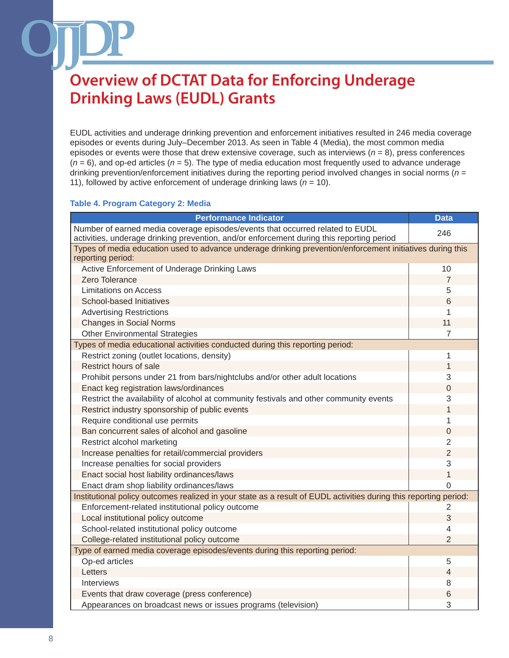EUDL activities and underage drinking prevention and enforcement initiatives resulted in 246 media coverage episodes or events during July–December 2013. As seen in Table 4 (Media), the most common media episodes or events were those that drew extensive coverage, such as interviews (*n* = 8), press conferences  $(n = 6)$ , and op-ed articles  $(n = 5)$ . The type of media education most frequently used to advance underage drinking prevention/enforcement initiatives during the reporting period involved changes in social norms (*n* = 11), followed by active enforcement of underage drinking laws  $(n = 10)$ .

#### **Table 4. Program Category 2: Media**

| <b>Performance Indicator</b>                                                                                                                                               | <b>Data</b>              |  |  |
|----------------------------------------------------------------------------------------------------------------------------------------------------------------------------|--------------------------|--|--|
| Number of earned media coverage episodes/events that occurred related to EUDL<br>activities, underage drinking prevention, and/or enforcement during this reporting period | 246                      |  |  |
| Types of media education used to advance underage drinking prevention/enforcement initiatives during this<br>reporting period:                                             |                          |  |  |
| Active Enforcement of Underage Drinking Laws                                                                                                                               | 10                       |  |  |
| Zero Tolerance                                                                                                                                                             | $\overline{7}$           |  |  |
| <b>Limitations on Access</b>                                                                                                                                               | 5                        |  |  |
| School-based Initiatives                                                                                                                                                   | 6                        |  |  |
| <b>Advertising Restrictions</b>                                                                                                                                            | 1                        |  |  |
| <b>Changes in Social Norms</b>                                                                                                                                             | 11                       |  |  |
| <b>Other Environmental Strategies</b>                                                                                                                                      | 7                        |  |  |
| Types of media educational activities conducted during this reporting period:                                                                                              |                          |  |  |
| Restrict zoning (outlet locations, density)                                                                                                                                | 1                        |  |  |
| Restrict hours of sale                                                                                                                                                     | 1                        |  |  |
| Prohibit persons under 21 from bars/nightclubs and/or other adult locations                                                                                                | 3                        |  |  |
| Enact keg registration laws/ordinances                                                                                                                                     | 0                        |  |  |
| Restrict the availability of alcohol at community festivals and other community events                                                                                     | 3                        |  |  |
| Restrict industry sponsorship of public events                                                                                                                             | 1                        |  |  |
| Require conditional use permits                                                                                                                                            | 1                        |  |  |
| Ban concurrent sales of alcohol and gasoline                                                                                                                               | $\Omega$                 |  |  |
| Restrict alcohol marketing                                                                                                                                                 | 2                        |  |  |
| Increase penalties for retail/commercial providers                                                                                                                         | $\overline{2}$           |  |  |
| Increase penalties for social providers                                                                                                                                    | 3                        |  |  |
| Enact social host liability ordinances/laws                                                                                                                                | $\mathbf{1}$             |  |  |
| Enact dram shop liability ordinances/laws                                                                                                                                  | $\Omega$                 |  |  |
| Institutional policy outcomes realized in your state as a result of EUDL activities during this reporting period:                                                          |                          |  |  |
| Enforcement-related institutional policy outcome                                                                                                                           | 2                        |  |  |
| Local institutional policy outcome                                                                                                                                         | 3                        |  |  |
| School-related institutional policy outcome                                                                                                                                | 4                        |  |  |
| College-related institutional policy outcome                                                                                                                               | $\overline{2}$           |  |  |
| Type of earned media coverage episodes/events during this reporting period:                                                                                                |                          |  |  |
| Op-ed articles                                                                                                                                                             | 5                        |  |  |
| Letters                                                                                                                                                                    | $\overline{\mathcal{L}}$ |  |  |
| Interviews                                                                                                                                                                 | 8                        |  |  |
| Events that draw coverage (press conference)                                                                                                                               | 6                        |  |  |
| Appearances on broadcast news or issues programs (television)                                                                                                              | 3                        |  |  |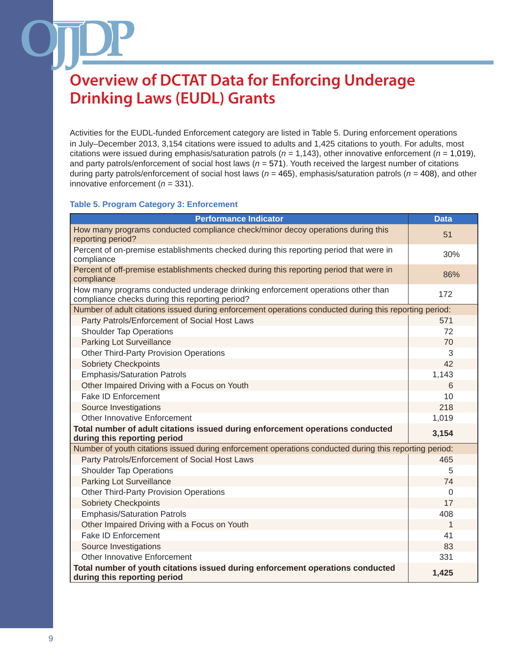Activities for the EUDL-funded Enforcement category are listed in Table 5. During enforcement operations in July–December 2013, 3,154 citations were issued to adults and 1,425 citations to youth. For adults, most citations were issued during emphasis/saturation patrols (*n* = 1,143), other innovative enforcement (*n* = 1,019), and party patrols/enforcement of social host laws (*n* = 571). Youth received the largest number of citations during party patrols/enforcement of social host laws (*n* = 465), emphasis/saturation patrols (*n* = 408), and other innovative enforcement (*n* = 331).

#### **Table 5. Program Category 3: Enforcement**

| <b>Performance Indicator</b>                                                                                                       | <b>Data</b> |
|------------------------------------------------------------------------------------------------------------------------------------|-------------|
| How many programs conducted compliance check/minor decoy operations during this<br>reporting period?                               | 51          |
| Percent of on-premise establishments checked during this reporting period that were in<br>compliance                               | 30%         |
| Percent of off-premise establishments checked during this reporting period that were in<br>compliance                              | 86%         |
| How many programs conducted underage drinking enforcement operations other than<br>compliance checks during this reporting period? | 172         |
| Number of adult citations issued during enforcement operations conducted during this reporting period:                             |             |
| Party Patrols/Enforcement of Social Host Laws                                                                                      | 571         |
| <b>Shoulder Tap Operations</b>                                                                                                     | 72          |
| Parking Lot Surveillance                                                                                                           | 70          |
| <b>Other Third-Party Provision Operations</b>                                                                                      | 3           |
| <b>Sobriety Checkpoints</b>                                                                                                        | 42          |
| <b>Emphasis/Saturation Patrols</b>                                                                                                 | 1,143       |
| Other Impaired Driving with a Focus on Youth                                                                                       | 6           |
| <b>Fake ID Enforcement</b>                                                                                                         | 10          |
| Source Investigations                                                                                                              | 218         |
| <b>Other Innovative Enforcement</b>                                                                                                | 1,019       |
| Total number of adult citations issued during enforcement operations conducted<br>during this reporting period                     | 3,154       |
| Number of youth citations issued during enforcement operations conducted during this reporting period:                             |             |
| Party Patrols/Enforcement of Social Host Laws                                                                                      | 465         |
| <b>Shoulder Tap Operations</b>                                                                                                     | 5           |
| Parking Lot Surveillance                                                                                                           | 74          |
| <b>Other Third-Party Provision Operations</b>                                                                                      | $\Omega$    |
| <b>Sobriety Checkpoints</b>                                                                                                        | 17          |
| <b>Emphasis/Saturation Patrols</b>                                                                                                 | 408         |
| Other Impaired Driving with a Focus on Youth                                                                                       | 1           |
| Fake ID Enforcement                                                                                                                | 41          |
| Source Investigations                                                                                                              | 83          |
| Other Innovative Enforcement                                                                                                       | 331         |
| Total number of youth citations issued during enforcement operations conducted<br>during this reporting period                     | 1,425       |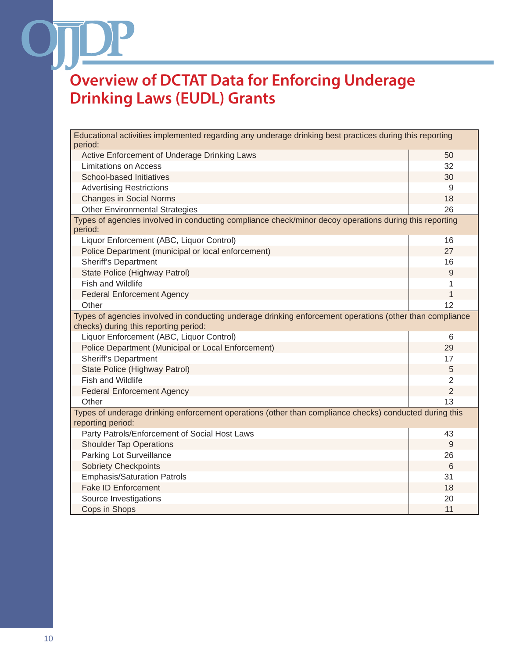$\mathcal{L}$ 

| Educational activities implemented regarding any underage drinking best practices during this reporting                     |                |  |  |  |
|-----------------------------------------------------------------------------------------------------------------------------|----------------|--|--|--|
| period:                                                                                                                     |                |  |  |  |
| Active Enforcement of Underage Drinking Laws                                                                                | 50             |  |  |  |
| <b>Limitations on Access</b>                                                                                                | 32             |  |  |  |
| School-based Initiatives                                                                                                    | 30             |  |  |  |
| <b>Advertising Restrictions</b>                                                                                             | 9              |  |  |  |
| <b>Changes in Social Norms</b>                                                                                              | 18             |  |  |  |
| <b>Other Environmental Strategies</b>                                                                                       | 26             |  |  |  |
| Types of agencies involved in conducting compliance check/minor decoy operations during this reporting<br>period:           |                |  |  |  |
| Liquor Enforcement (ABC, Liquor Control)                                                                                    | 16             |  |  |  |
| Police Department (municipal or local enforcement)                                                                          | 27             |  |  |  |
| <b>Sheriff's Department</b>                                                                                                 | 16             |  |  |  |
| State Police (Highway Patrol)                                                                                               | 9              |  |  |  |
| <b>Fish and Wildlife</b>                                                                                                    | 1              |  |  |  |
| <b>Federal Enforcement Agency</b>                                                                                           | 1              |  |  |  |
| Other                                                                                                                       | 12             |  |  |  |
| Types of agencies involved in conducting underage drinking enforcement operations (other than compliance                    |                |  |  |  |
| checks) during this reporting period:                                                                                       |                |  |  |  |
| Liquor Enforcement (ABC, Liquor Control)                                                                                    | 6              |  |  |  |
| Police Department (Municipal or Local Enforcement)                                                                          | 29             |  |  |  |
| <b>Sheriff's Department</b>                                                                                                 | 17             |  |  |  |
| State Police (Highway Patrol)                                                                                               | 5              |  |  |  |
| <b>Fish and Wildlife</b>                                                                                                    | 2              |  |  |  |
| <b>Federal Enforcement Agency</b>                                                                                           | $\overline{2}$ |  |  |  |
| Other                                                                                                                       | 13             |  |  |  |
| Types of underage drinking enforcement operations (other than compliance checks) conducted during this<br>reporting period: |                |  |  |  |
| Party Patrols/Enforcement of Social Host Laws                                                                               | 43             |  |  |  |
| <b>Shoulder Tap Operations</b>                                                                                              | 9              |  |  |  |
| Parking Lot Surveillance                                                                                                    | 26             |  |  |  |
| <b>Sobriety Checkpoints</b>                                                                                                 | 6              |  |  |  |
| <b>Emphasis/Saturation Patrols</b>                                                                                          | 31             |  |  |  |
| <b>Fake ID Enforcement</b>                                                                                                  | 18             |  |  |  |
| Source Investigations                                                                                                       | 20             |  |  |  |
| Cops in Shops                                                                                                               | 11             |  |  |  |